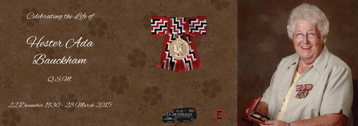

Hester OAda





22 December 1930 - 28 March 2015



安比安



 $\mathcal{D}% _{M_{1},M_{2}}^{\alpha,\beta}(\theta;\mathbf{A})$